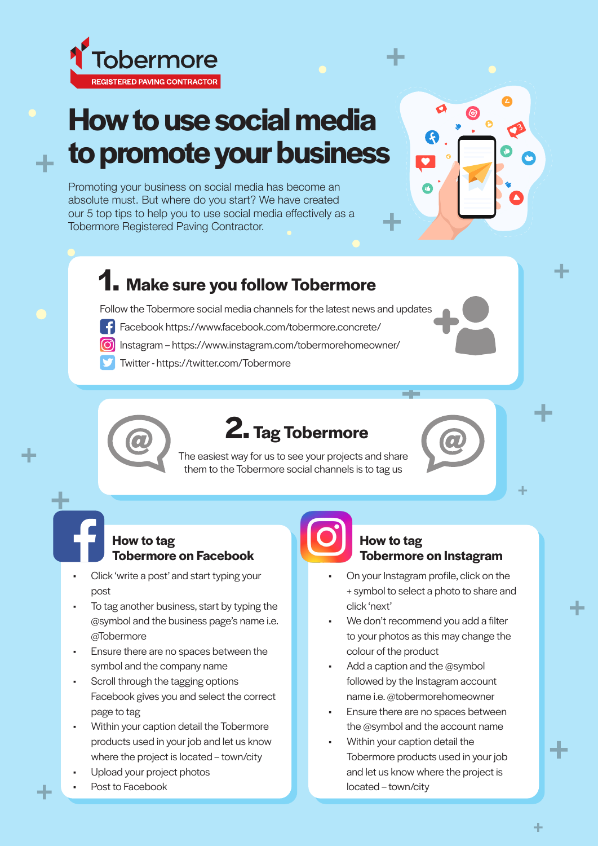

# **How to use social media to promote your business**

Promoting your business on social media has become an absolute must. But where do you start? We have created our 5 top tips to help you to use social media effectively as a Tobermore Registered Paving Contractor.

# **Make sure you follow Tobermore 1.**

Follow the Tobermore social media channels for the latest news and updates

- Facebook https://www.facebook.com/tobermore.concrete/
- Instagram https://www.instagram.com/tobermorehomeowner/
- Twitter https://twitter.com/Tobermore

### **2.Tag Tobermore**

The easiest way for us to see your projects and share them to the Tobermore social channels is to tag us

### **How to tag Tobermore on Facebook**

- Click 'write a post' and start typing your post
- To tag another business, start by typing the @symbol and the business page's name i.e. @Tobermore
- Ensure there are no spaces between the symbol and the company name
- Scroll through the tagging options Facebook gives you and select the correct page to tag
- Within your caption detail the Tobermore products used in your job and let us know where the project is located – town/city
- Upload your project photos
- Post to Facebook

÷

### **How to tag Tobermore on Instagram**

- On your Instagram profile, click on the + symbol to select a photo to share and click 'next'
- We don't recommend you add a filter to your photos as this may change the colour of the product
- Add a caption and the @symbol followed by the Instagram account name i.e. @tobermorehomeowner
- Ensure there are no spaces between the @symbol and the account name
- Within your caption detail the Tobermore products used in your job and let us know where the project is located – town/city